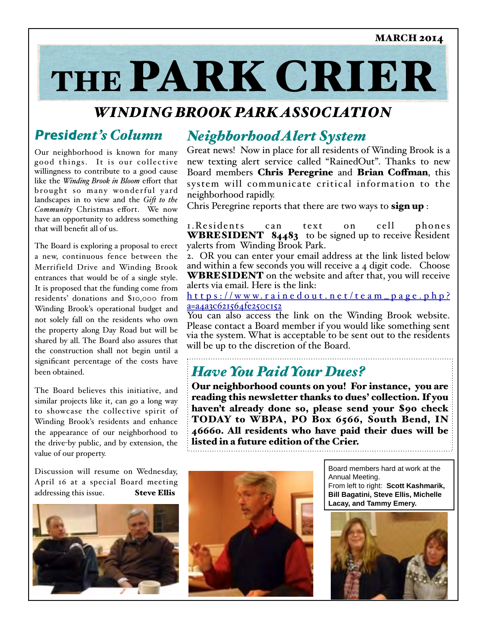# THE PARK CRIER

# *WINDING BROOK PARK ASSOCIATION*

# *President's Column*

Our neighborhood is known for many good things. It is our collective willingness to contribute to a good cause like the *Winding Brook in Bloom* efort that brought so many wonderful yard landscapes in to view and the *Gif to the Community* Christmas effort. We now have an opportunity to address something that will benefit all of us.

The Board is exploring a proposal to erect a new, continuous fence between the Merrifield Drive and Winding Brook entrances that would be of a single style. It is proposed that the funding come from residents' donations and \$10,000 from Winding Brook's operational budget and not solely fall on the residents who own the property along Day Road but will be shared by all. The Board also assures that the construction shall not begin until a significant percentage of the costs have been obtained.

The Board believes this initiative, and similar projects like it, can go a long way to showcase the collective spirit of Winding Brook's residents and enhance the appearance of our neighborhood to the drive-by public, and by extension, the value of our property.

Discussion will resume on Wednesday, April 16 at a special Board meeting addressing this issue. Steve Ellis



# *NeighborhoodAlert System*

Great news! Now in place for all residents of Winding Brook is a new texting alert service called "RainedOut". Thanks to new Board members Chris Peregrine and Brian Coffman, this system will communicate critical information to the neighborhood rapidly.

Chris Peregrine reports that there are two ways to sign up :

1. Residents can text on cell phones **WBRESIDENT**  $84483$  to be signed up to receive Resident yalerts from Winding Brook Park.

2. OR you can enter your email address at the link listed below and within a few seconds you will receive a 4 digit code. Choose WBRESIDENT on the website and after that, you will receive alerts via email. Here is the link:

h t t p s : //www.rai n e d o u t . n e t / t e a m \_ p a g e . p h p ? a=a4a3c621564fe250c152

You can also access the link on the Winding Brook website. Please contact a Board member if you would like something sent via the system. What is acceptable to be sent out to the residents will be up to the discretion of the Board.

# *HaveYou PaidYour Dues?*

Our neighborhood counts on you! For instance, you are reading this newsletter thanks to dues' collection. If you haven't already done so, please send your \$90 check TODAY to WBPA, PO Box 6566, South Bend, IN 46660. All residents who have paid their dues will be listed in a future edition of the Crier.



Board members hard at work at the Annual Meeting. From left to right: **Scott Kashmarik, Bill Bagatini, Steve Ellis, Michelle Lacay, and Tammy Emery.**

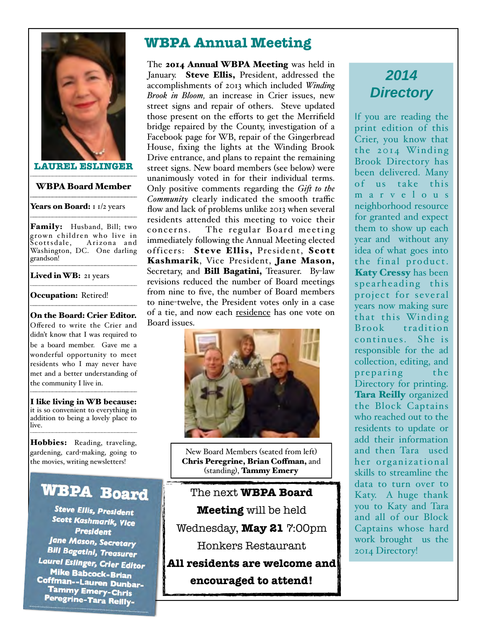

**LAUREL ESLINGER**

WBPABoard Member

Years on Board: 1 1/2 years

Family: Husband, Bill; two grown children who live in Scottsdale, Arizona and Washington, DC. One darling grandson!

Lived in WB: 21 years

Occupation: Retired!

On the Board: Crier Editor. Ofered to write the Crier and didn't know that I was required to be a board member. Gave me a wonderful opportunity to meet residents who I may never have met and a better understanding of the community I live in.

I like living in WB because: it is so convenient to everything in addition to being a lovely place to live.

Hobbies: Reading, traveling, gardening, card-making, going to the movies, writing newsletters!

# **WBPA Board**

**Steve Ellis, President Scott Kashmarik, Vice President Jane Mason, Secretary Bill Bagatini, Treasurer** Laurel Eslinger, Crier Editor Mike Babcock-Brian **Coffman--Lauren Dunbar-**<br>Coffman--Lauren Dunbar-<br>Tammy Emers **CLU** Tammy Emery-Chris Peregrine-Tara Reilly-

# **WBPA Annual Meeting**

The 2014 Annual WBPA Meeting was held in January. Steve Ellis, President, addressed the accomplishments of 2013 which included *Winding Brook in Bloom,* an increase in Crier issues, new street signs and repair of others. Steve updated those present on the eforts to get the Merrifield bridge repaired by the County, investigation of a Facebook page for WB, repair of the Gingerbread House, fixing the lights at the Winding Brook Drive entrance, and plans to repaint the remaining street signs. New board members (see below) were unanimously voted in for their individual terms. Only positive comments regarding the *Gif to the* Community clearly indicated the smooth traffic flow and lack of problems unlike 2013 when several residents attended this meeting to voice their concerns. The regular Board meeting immediately following the Annual Meeting elected officers: Steve Ellis, President, Scott Kashmarik, Vice President, Jane Mason, Secretary, and **Bill Bagatini**, Treasurer. By-law revisions reduced the number of Board meetings from nine to five, the number of Board members to nine-twelve, the President votes only in a case of a tie, and now each residence has one vote on Board issues.



New Board Members (seated from left) Chris Peregrine, Brian Coffman, and (standing), Tammy Emery

The next **WBPA Board Meeting** will be held Wednesday, **May 21** 7:00pm Honkers Restaurant **All residents are welcome and**

**encouraged to attend!**

# *2014 Directory*

If you are reading the print edition of this Crier, you know that the 2014 Winding Brook Directory has been delivered. Many of us take this m a r v e l o u s neighborhood resource for granted and expect them to show up each year and without any idea of what goes into the final product. Katy Cressy has been spearheading this project for several years now making sure that this Winding Brook tradition continues. She is responsible for the ad collection, editing, and preparing the Directory for printing. Tara Reilly organized the Block Captains who reached out to the residents to update or add their information and then Tara used her organizational skills to streamline the data to turn over to Katy. A huge thank you to Katy and Tara and all of our Block Captains whose hard work brought us the 2014 Directory!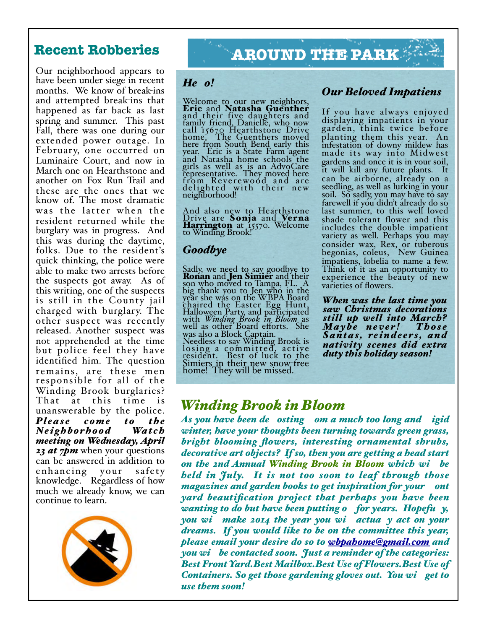Our neighborhood appears to have been under siege in recent months. We know of break-ins and attempted break-ins that happened as far back as last spring and summer. This past Fall, there was one during our extended power outage. In February, one occurred on Luminaire Court, and now in March one on Hearthstone and another on Fox Run Trail and these are the ones that we know of. The most dramatic was the latter when the resident returned while the burglary was in progress. And this was during the daytime, folks. Due to the resident's quick thinking, the police were able to make two arrests before the suspects got away. As of this writing, one of the suspects is still in the County jail charged with burglary. The other suspect was recently released. Another suspect was not apprehended at the time but police feel they have identified him. The question remains, are these men responsible for all of the Winding Brook burglaries? That at this time is unanswerable by the police. *Pl eas e come to the Ne ighborhood Wat ch meeting on Wednesday, April 23 at 7pm* when your questions can be answered in addition to enhancing your safety knowledge. Regardless of how much we already know, we can continue to learn.



# **Recent Robberies AROUND THE PARK**

### *He o!*

Welcome to our new neighbors,<br>**Eric** and **Natasha Guenther** and their five daughters and family friend, Danielle, who now call 15670 Hearthstone Drive home. The Guenthers moved here from South Bend early this year. Eric is a State Farm agent and Natasha home schools the girls as well as is an AdvoCare representative. They moved here from Reverewood and are delighted with their new neighborhood!

And also new to Hearthstone Drive are Sonja and Verna Harrington at 15570. Welcome to Winding Brook!

#### *Goodbye*

Sadly, we need to say goodbye to Ronan and Jen Simier and their son who moved to Tampa, FL. A big thank you to Jen who in the year she was on the WBPA Board chaired the Easter Egg Hunt, Halloween Party, and participated with *Winding Brook in Bloom* as well as other Board eforts. She was also a Block Captain.<br>Needless to say Winding Brook is losing a committed, active resident. Best of luck to the Simiers in their new snow-free home! They will be missed.

#### *Our Beloved Impatiens*

If you have always enjoyed displaying impatients in your garden, think twice before planting them this year. An infestation of downy mildew has made its way into Midwest gardens and once it is in your soil, it will kill any future plants. It can be airborne, already on a seedling, as well as lurking in your soil. So sadly, you may have to say farewell if you didn't already do so last summer, to this well loved shade tolerant flower and this includes the double impatient variety as well. Perhaps you may consider wax, Rex, or tuberous begonias, coleus, New Guinea impatiens, lobelia to name <sup>a</sup> few. Think of it as an opportunity to experience the beauty of new varieties of flowers.

*When was the last time you saw Christmas decorations still up well into March? Maybe neve r ! Thos e Santas, re indee r s, and nativity scenes did extra duty this holiday season!*

## *Winding Brook in Bloom*

*As you have been de osting om a much too long and igid winter, have your thoughts been turning towards green grass, bright blooming flowers, interesting ornamental shrubs, decorative art objects? If so, then you are getting a head start on the 2nd Annual Winding Brook in Bloom which wi be held in July. It is not too soon to leaf through those magazines and garden books to get inspiration for your ont yard beautification project that perhaps you have been wanting to do but have been putting o for years. Hopefu y, you wi make 2014 the year you wi actua y act on your dreams. If you would like to be on the committee this year, please email your desire do so to wbpahome@gmail.com and you wi be contacted soon. Just a reminder of the categories: Best FrontYard.Best Mailbox.Best Use of Flowers.Best Use of Containers. So get those gardening gloves out. You wi get to use them soon!*